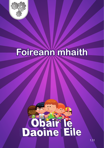

### Foireann mhaith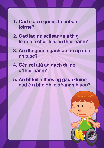- **1. Cad é atá i gceist le hobair foirne?**
- **2. Cad iad na scileanna a thig leatsa a chur leis an fhoireann?**
- **3. An dtuigeann gach duine agaibh an tasc?**
- **4. Cén ról atá ag gach duine i d'fhoireann?**
- **5. An bhfuil a fhios ag gach duine cad é a bheidh le déanamh acu?**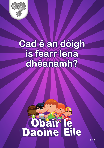

#### **Cad é an dóigh is fearr lena dhéanamh?**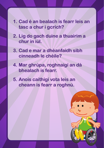- **1. Cad é an bealach is fearr leis an tasc a chur i gcrích?**
- **2. Lig do gach duine a thuairim a chur in iúl.**
- **3. Cad e mar a dhéanfaidh sibh cinneadh le chéile?**
- **4. Mar ghrúpa, roghnaígí an dá bhealach is fearr.**
- **5. Anois caithigí vota leis an cheann is fearr a roghnú.**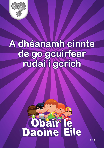

#### **A dhéanamh cinnte de go gcuirfear rudaí i gcrích**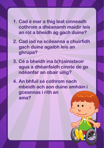- **1. Cad é mar a thig leat cinneadh cothrom a dhéanamh maidir leis an ról a bheidh ag gach duine?**
- **2. Cad iad na scileanna a chuirfidh gach duine agaibh leis an ghrúpa?**
- **3. Cé a bheidh ina b(h)ainisteoir agus a dhéanfaidh cinnte de go ndéanfar an obair uilig?**
- **4. An bhfuil sé cothrom nach mbeidh ach aon duine amháin i gceannas i rith an ama?**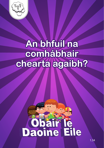

#### **An bhfuil na comhábhair chearta agaibh?**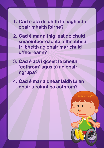- **1. Cad é atá de dhíth le haghaidh obair mhaith foirne?**
- **2. Cad é mar a thig leat do chuid smaointeoireachta a fheabhsú trí bheith ag obair mar chuid d'fhoireann?**
- **3. Cad é atá i gceist le bheith 'cothrom' agus tú ag obair i ngrúpa?**
- **4. Cad é mar a dhéanfaidh tú an obair a roinnt go cothrom?**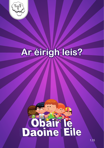

### Ar éirigh leis?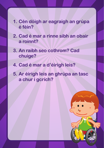- **1. Cén dóigh ar eagraigh an grúpa é féin?**
- **2. Cad é mar a rinne sibh an obair a roinnt?**
- **3. An raibh seo cothrom? Cad chuige?**
- **4. Cad é mar a d'éirigh leis?**
- **5. Ar éirigh leis an ghrúpa an tasc a chur i gcrích?**

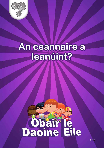

#### An ceannaire a leanúint?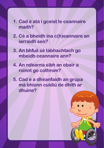- **1. Cad é atá i gceist le ceannaire maith?**
- **2. Cé a bheidh ina c(h)eannaire an iarraidh seo?**
- **3. An bhfuil sé tábhachtach go mbeidh ceannaire ann?**
- **4. An ndearna sibh an obair a roinnt go cothrom?**
- **5. Cad é a dhéanfaidh an grúpa má bhíonn cuidiú de dhíth ar dhuine?**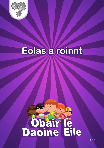

### Eolas a roinnt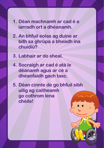- **1. Déan machnamh ar cad é a iarradh ort a dhéanamh.**
- **2. An bhfuil eolas ag duine ar bith sa ghrúpa a bheadh ina chuidiú?**
- **3. Labhair ar do sheal.**
- **4. Socraigh ar cad é atá le déanamh agus ar cé a dhéanfaidh gach tasc.**
- **5. Déan cinnte de go bhfuil sibh uilig ag caitheamh go cothrom lena chéile!**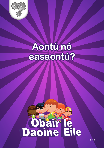

#### Aontú nó easaontú?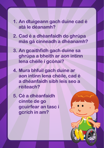- **1. An dtuigeann gach duine cad é atá le déanamh?**
- **2. Cad é a dhéanfaidh do ghrúpa más gá cinneadh a dhéanamh?**
- **3. An gcaithfidh gach duine sa ghrúpa a bheith ar aon intinn lena chéile i gcónaí?**
- **4. Mura bhfuil gach duine ar aon intinn lena chéile, cad é a dhéanfaidh sibh leis seo a réiteach?**
- **5. Cé a dhéanfaidh cinnte de go gcuirfear an tasc i gcrích in am?**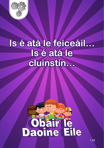

#### Is é atá le feiceáil... Is é atá le cluinstin...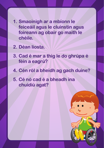- **1. Smaoinigh ar a mbíonn le feiceáil agus le cluinstin agus foireann ag obair go maith le chéile.**
- **2. Déan liosta.**
- **3. Cad é mar a thig le do ghrúpa é féin a eagrú?**
- **4. Cén ról a bheidh ag gach duine?**
- **5. Cé nó cad é a bheadh ina chuidiú agat?**

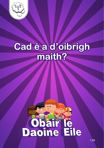

#### Cad é a d'oibrigh maith?